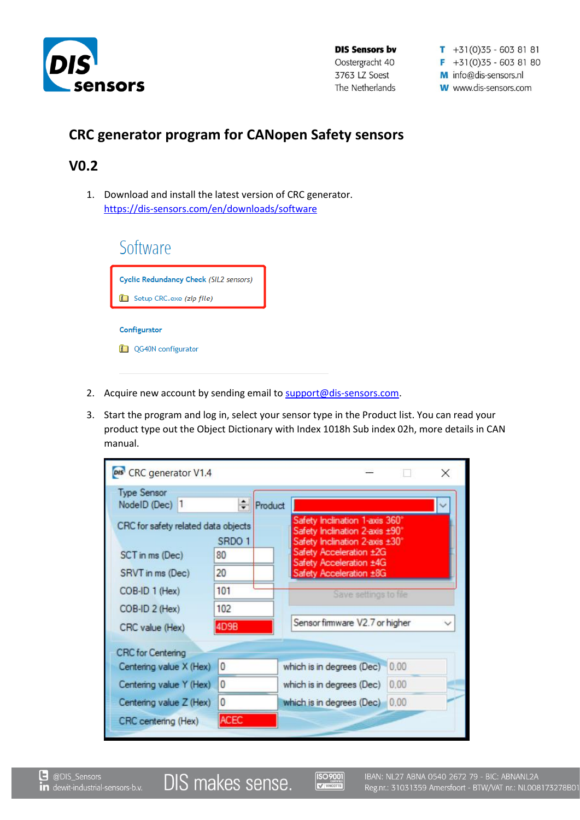

**DIS Sensors by** Oostergracht 40

3763 LZ Soest

The Netherlands

 $T + 31(0)35 - 6038181$  $F + 31(0)35 - 6038180$ M info@dis-sensors.nl **W** www.dis-sensors.com

## **CRC generator program for CANopen Safety sensors**

## **V0.2**

1. Download and install the latest version of CRC generator. <https://dis-sensors.com/en/downloads/software>



- 2. Acquire new account by sending email to [support@dis-sensors.com.](mailto:support@dis-sensors.com)
- 3. Start the program and log in, select your sensor type in the Product list. You can read your product type out the Object Dictionary with Index 1018h Sub index 02h, more details in CAN manual.



**ISO 9001**